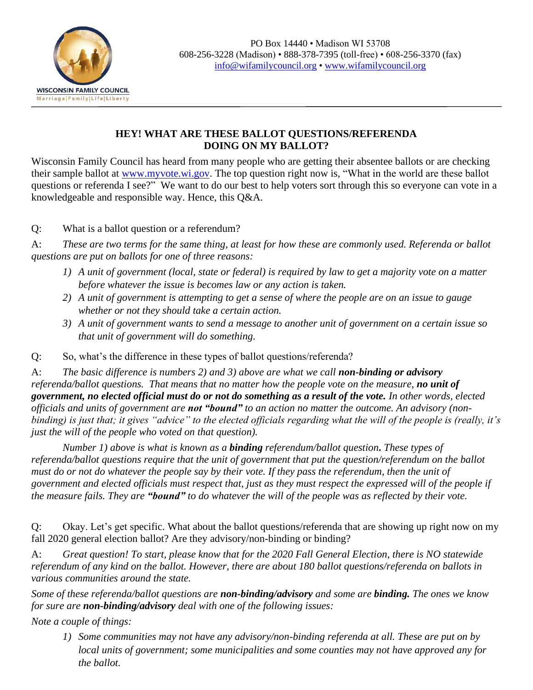

 $\overline{a}$ 

## **HEY! WHAT ARE THESE BALLOT QUESTIONS/REFERENDA DOING ON MY BALLOT?**

Wisconsin Family Council has heard from many people who are getting their absentee ballots or are checking their sample ballot at [www.myvote.wi.gov.](http://www.myvote.wi.gov/) The top question right now is, "What in the world are these ballot questions or referenda I see?" We want to do our best to help voters sort through this so everyone can vote in a knowledgeable and responsible way. Hence, this Q&A.

Q: What is a ballot question or a referendum?

A: *These are two terms for the same thing, at least for how these are commonly used. Referenda or ballot questions are put on ballots for one of three reasons:*

- *1) A unit of government (local, state or federal) is required by law to get a majority vote on a matter before whatever the issue is becomes law or any action is taken.*
- *2) A unit of government is attempting to get a sense of where the people are on an issue to gauge whether or not they should take a certain action.*
- *3) A unit of government wants to send a message to another unit of government on a certain issue so that unit of government will do something.*
- Q: So, what's the difference in these types of ballot questions/referenda?

A: The basic difference is numbers 2) and 3) above are what we call **non-binding or advisory** *referenda/ballot questions. That means that no matter how the people vote on the measure, no unit of government, no elected official must do or not do something as a result of the vote. In other words, elected officials and units of government are not "bound" to an action no matter the outcome. An advisory (nonbinding) is just that; it gives "advice" to the elected officials regarding what the will of the people is (really, it's just the will of the people who voted on that question).*

*Number 1) above is what is known as a binding referendum/ballot question***.** *These types of referenda/ballot questions require that the unit of government that put the question/referendum on the ballot must do or not do whatever the people say by their vote. If they pass the referendum, then the unit of government and elected officials must respect that, just as they must respect the expressed will of the people if the measure fails. They are "bound" to do whatever the will of the people was as reflected by their vote.*

Q: Okay. Let's get specific. What about the ballot questions/referenda that are showing up right now on my fall 2020 general election ballot? Are they advisory/non-binding or binding?

A: *Great question! To start, please know that for the 2020 Fall General Election, there is NO statewide referendum of any kind on the ballot. However, there are about 180 ballot questions/referenda on ballots in various communities around the state.*

*Some of these referenda/ballot questions are non-binding/advisory and some are binding. The ones we know for sure are non-binding/advisory deal with one of the following issues:*

*Note a couple of things:* 

*1) Some communities may not have any advisory/non-binding referenda at all. These are put on by local units of government; some municipalities and some counties may not have approved any for the ballot.*